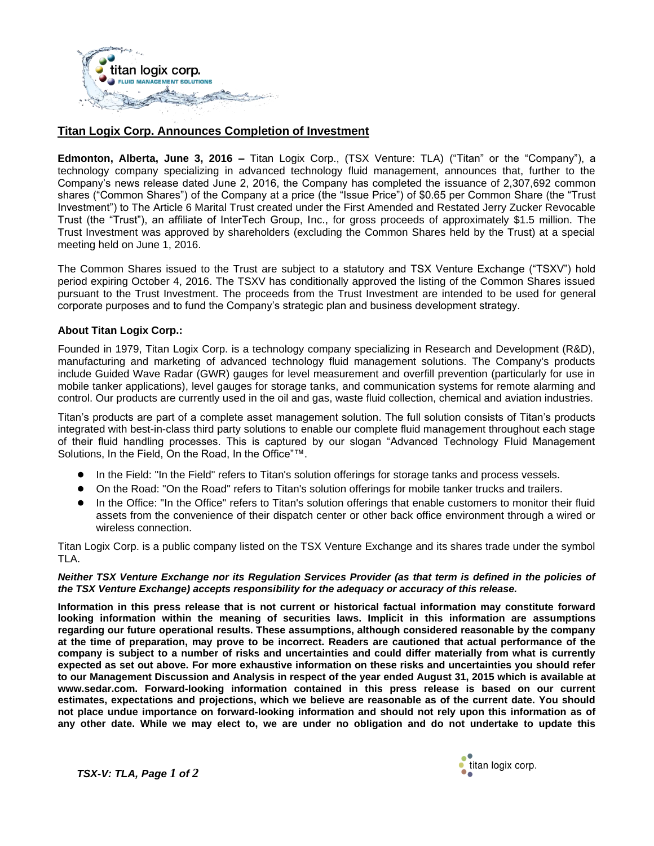

## **Titan Logix Corp. Announces Completion of Investment**

**Edmonton, Alberta, June 3, 2016 –** Titan Logix Corp., (TSX Venture: TLA) ("Titan" or the "Company"), a technology company specializing in advanced technology fluid management, announces that, further to the Company's news release dated June 2, 2016, the Company has completed the issuance of 2,307,692 common shares ("Common Shares") of the Company at a price (the "Issue Price") of \$0.65 per Common Share (the "Trust Investment") to The Article 6 Marital Trust created under the First Amended and Restated Jerry Zucker Revocable Trust (the "Trust"), an affiliate of InterTech Group, Inc., for gross proceeds of approximately \$1.5 million. The Trust Investment was approved by shareholders (excluding the Common Shares held by the Trust) at a special meeting held on June 1, 2016.

The Common Shares issued to the Trust are subject to a statutory and TSX Venture Exchange ("TSXV") hold period expiring October 4, 2016. The TSXV has conditionally approved the listing of the Common Shares issued pursuant to the Trust Investment. The proceeds from the Trust Investment are intended to be used for general corporate purposes and to fund the Company's strategic plan and business development strategy.

## **About Titan Logix Corp.:**

Founded in 1979, Titan Logix Corp. is a technology company specializing in Research and Development (R&D), manufacturing and marketing of advanced technology fluid management solutions. The Company's products include Guided Wave Radar (GWR) gauges for level measurement and overfill prevention (particularly for use in mobile tanker applications), level gauges for storage tanks, and communication systems for remote alarming and control. Our products are currently used in the oil and gas, waste fluid collection, chemical and aviation industries.

Titan's products are part of a complete asset management solution. The full solution consists of Titan's products integrated with best-in-class third party solutions to enable our complete fluid management throughout each stage of their fluid handling processes. This is captured by our slogan "Advanced Technology Fluid Management Solutions, In the Field, On the Road, In the Office"™.

- In the Field: "In the Field" refers to Titan's solution offerings for storage tanks and process vessels.
- On the Road: "On the Road" refers to Titan's solution offerings for mobile tanker trucks and trailers.
- In the Office: "In the Office" refers to Titan's solution offerings that enable customers to monitor their fluid assets from the convenience of their dispatch center or other back office environment through a wired or wireless connection.

Titan Logix Corp. is a public company listed on the TSX Venture Exchange and its shares trade under the symbol TLA.

## *Neither TSX Venture Exchange nor its Regulation Services Provider (as that term is defined in the policies of the TSX Venture Exchange) accepts responsibility for the adequacy or accuracy of this release.*

**Information in this press release that is not current or historical factual information may constitute forward looking information within the meaning of securities laws. Implicit in this information are assumptions regarding our future operational results. These assumptions, although considered reasonable by the company at the time of preparation, may prove to be incorrect. Readers are cautioned that actual performance of the company is subject to a number of risks and uncertainties and could differ materially from what is currently expected as set out above. For more exhaustive information on these risks and uncertainties you should refer to our Management Discussion and Analysis in respect of the year ended August 31, 2015 which is available at www.sedar.com. Forward-looking information contained in this press release is based on our current estimates, expectations and projections, which we believe are reasonable as of the current date. You should not place undue importance on forward-looking information and should not rely upon this information as of any other date. While we may elect to, we are under no obligation and do not undertake to update this** 



*TSX-V: TLA, Page 1 of 2*